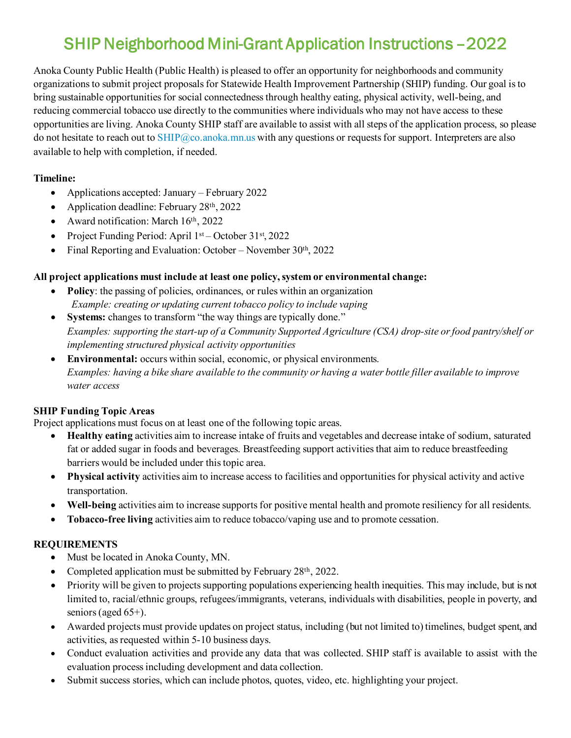# SHIP Neighborhood Mini-Grant Application Instructions –2022

Anoka County Public Health (Public Health) is pleased to offer an opportunity for neighborhoods and community organizations to submit project proposals for Statewide Health Improvement Partnership (SHIP) funding. Our goal is to bring sustainable opportunities for social connectedness through healthy eating, physical activity, well-being, and reducing commercial tobacco use directly to the communities where individuals who may not have access to these opportunities are living. Anoka County SHIP staff are available to assist with all steps of the application process, so please do not hesitate to reach out to [SHIP@co.anoka.mn.us](mailto:SHIP@co.anoka.mn.us) with any questions or requests for support. Interpreters are also available to help with completion, if needed.

## **Timeline:**

- Applications accepted: January February 2022
- Application deadline: February 28th, 2022
- Award notification: March 16th, 2022
- Project Funding Period: April  $1<sup>st</sup>$  October 31 $<sup>st</sup>$ , 2022</sup>
- Final Reporting and Evaluation: October November  $30<sup>th</sup>$ , 2022

### **All project applications must include at least one policy, system or environmental change:**

- **Policy**: the passing of policies, ordinances, or rules within an organization *Example: creating or updating current tobacco policy to include vaping*
- **Systems:** changes to transform "the way things are typically done." *Examples: supporting the start-up of a Community Supported Agriculture (CSA) drop-site or food pantry/shelf or implementing structured physical activity opportunities*
- **Environmental:** occurs within social, economic, or physical environments. *Examples: having a bike share available to the community or having a water bottle filler available to improve water access*

### **SHIP Funding Topic Areas**

Project applications must focus on at least one of the following topic areas.

- **Healthy eating** activities aim to increase intake of fruits and vegetables and decrease intake of sodium, saturated fat or added sugar in foods and beverages. Breastfeeding support activities that aim to reduce breastfeeding barriers would be included under this topic area.
- **Physical activity** activities aim to increase access to facilities and opportunities for physical activity and active transportation.
- **Well-being** activities aim to increase supports for positive mental health and promote resiliency for all residents.
- **Tobacco-free living** activities aim to reduce tobacco/vaping use and to promote cessation.

### **REQUIREMENTS**

- Must be located in Anoka County, MN.
- Completed application must be submitted by February  $28<sup>th</sup>$ , 2022.
- Priority will be given to projects supporting populations experiencing health inequities. This may include, but is not limited to, racial/ethnic groups, refugees/immigrants, veterans, individuals with disabilities, people in poverty, and seniors (aged 65+).
- Awarded projects must provide updates on project status, including (but not limited to) timelines, budget spent, and activities, as requested within 5-10 business days.
- Conduct evaluation activities and provide any data that was collected. SHIP staff is available to assist with the evaluation process including development and data collection.
- Submit success stories, which can include photos, quotes, video, etc. highlighting your project.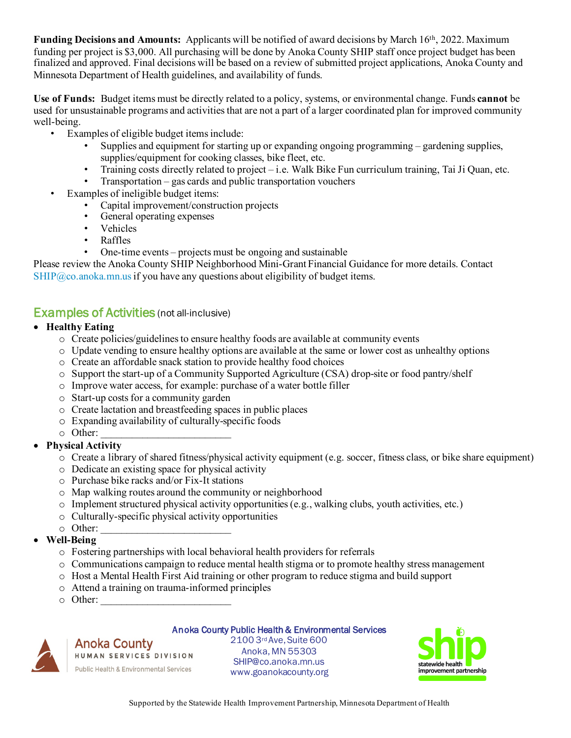**Funding Decisions and Amounts:** Applicants will be notified of award decisions by March 16<sup>th</sup>, 2022. Maximum funding per project is \$3,000. All purchasing will be done by Anoka County SHIP staff once project budget has been finalized and approved. Final decisions will be based on a review of submitted project applications, Anoka County and Minnesota Department of Health guidelines, and availability of funds.

**Use of Funds:**Budget items must be directly related to a policy, systems, or environmental change. Funds **cannot** be used for unsustainable programs and activities that are not a part of a larger coordinated plan for improved community well-being.

- Examples of eligible budget itemsinclude:
	- Supplies and equipment for starting up or expanding ongoing programming gardening supplies, supplies/equipment for cooking classes, bike fleet, etc.
	- Training costs directly related to project i.e. Walk Bike Fun curriculum training, Tai Ji Quan, etc.
	- Transportation gas cards and public transportation vouchers
- Examples of ineligible budget items:
	- Capital improvement/construction projects
	- General operating expenses
	- Vehicles
	- Raffles
	- One-time events projects must be ongoing and sustainable

Please review the Anoka County SHIP Neighborhood Mini-Grant Financial Guidance for more details. Contact  $SHIP@co. anoka.mn.us$  if you have any questions about eligibility of budget items.

# Examples of Activities (not all-inclusive)

- **Healthy Eating**
	- o Create policies/guidelines to ensure healthy foods are available at community events
	- o Update vending to ensure healthy options are available at the same or lower cost as unhealthy options
	- o Create an affordable snack station to provide healthy food choices
	- o Support the start-up of a Community Supported Agriculture (CSA) drop-site or food pantry/shelf
	- o Improve water access, for example: purchase of a water bottle filler
	- o Start-up costs for a community garden
	- o Create lactation and breastfeeding spaces in public places
	- o Expanding availability of culturally-specific foods
	- $\circ$  Other:
- **Physical Activity** 
	- $\circ$  Create a library of shared fitness/physical activity equipment (e.g. soccer, fitness class, or bike share equipment)
	- o Dedicate an existing space for physical activity
	- o Purchase bike racks and/or Fix-It stations
	- o Map walking routes around the community or neighborhood
	- $\circ$  Implement structured physical activity opportunities (e.g., walking clubs, youth activities, etc.)
	- o Culturally-specific physical activity opportunities
	- $\circ$  Other:
- **Well-Being**
	- o Fostering partnerships with local behavioral health providers for referrals
	- o Communications campaign to reduce mental health stigma or to promote healthy stress management
	- o Host a Mental Health First Aid training or other program to reduce stigma and build support
	- o Attend a training on trauma-informed principles
	- $\circ$  Other:

#### Anoka County Public Health & Environmental Services

**Anoka County** HUMAN SERVICES DIVISION Public Health & Environmental Services

2100 3rd Ave, Suite 600 Anoka, MN 55303 SHIP@co.anoka.mn.us www.goanokacounty.org